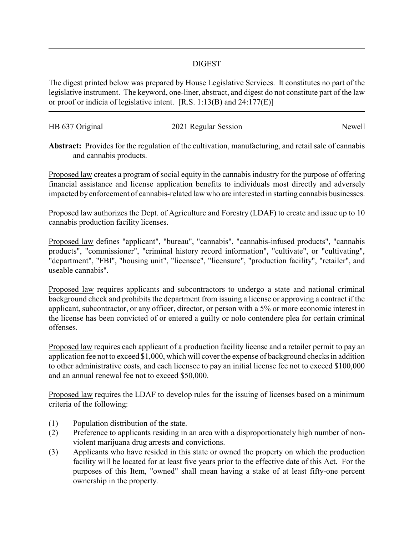## DIGEST

The digest printed below was prepared by House Legislative Services. It constitutes no part of the legislative instrument. The keyword, one-liner, abstract, and digest do not constitute part of the law or proof or indicia of legislative intent. [R.S. 1:13(B) and 24:177(E)]

| HB 637 Original |                      | Newell |
|-----------------|----------------------|--------|
|                 | 2021 Regular Session |        |

**Abstract:** Provides for the regulation of the cultivation, manufacturing, and retail sale of cannabis and cannabis products.

Proposed law creates a program of social equity in the cannabis industry for the purpose of offering financial assistance and license application benefits to individuals most directly and adversely impacted by enforcement of cannabis-related law who are interested in starting cannabis businesses.

Proposed law authorizes the Dept. of Agriculture and Forestry (LDAF) to create and issue up to 10 cannabis production facility licenses.

Proposed law defines "applicant", "bureau", "cannabis", "cannabis-infused products", "cannabis products", "commissioner", "criminal history record information", "cultivate", or "cultivating", "department", "FBI", "housing unit", "licensee", "licensure", "production facility", "retailer", and useable cannabis".

Proposed law requires applicants and subcontractors to undergo a state and national criminal background check and prohibits the department from issuing a license or approving a contract if the applicant, subcontractor, or any officer, director, or person with a 5% or more economic interest in the license has been convicted of or entered a guilty or nolo contendere plea for certain criminal offenses.

Proposed law requires each applicant of a production facility license and a retailer permit to pay an application fee not to exceed \$1,000, which will cover the expense of background checks in addition to other administrative costs, and each licensee to pay an initial license fee not to exceed \$100,000 and an annual renewal fee not to exceed \$50,000.

Proposed law requires the LDAF to develop rules for the issuing of licenses based on a minimum criteria of the following:

- (1) Population distribution of the state.
- (2) Preference to applicants residing in an area with a disproportionately high number of nonviolent marijuana drug arrests and convictions.
- (3) Applicants who have resided in this state or owned the property on which the production facility will be located for at least five years prior to the effective date of this Act. For the purposes of this Item, "owned" shall mean having a stake of at least fifty-one percent ownership in the property.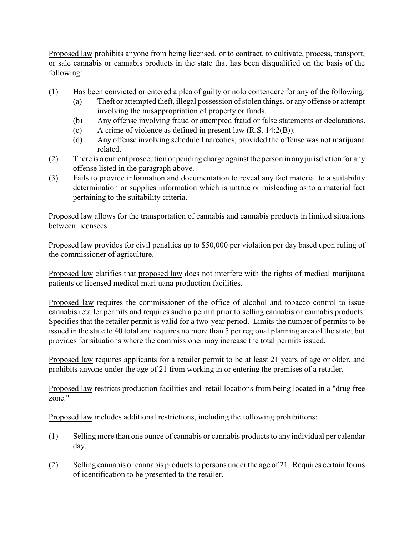Proposed law prohibits anyone from being licensed, or to contract, to cultivate, process, transport, or sale cannabis or cannabis products in the state that has been disqualified on the basis of the following:

- (1) Has been convicted or entered a plea of guilty or nolo contendere for any of the following:
	- (a) Theft or attempted theft, illegal possession of stolen things, or any offense or attempt involving the misappropriation of property or funds.
	- (b) Any offense involving fraud or attempted fraud or false statements or declarations.
	- (c) A crime of violence as defined in present law (R.S. 14:2(B)).
	- (d) Any offense involving schedule I narcotics, provided the offense was not marijuana related.
- (2) There is a current prosecution or pending charge against the person in anyjurisdiction for any offense listed in the paragraph above.
- (3) Fails to provide information and documentation to reveal any fact material to a suitability determination or supplies information which is untrue or misleading as to a material fact pertaining to the suitability criteria.

Proposed law allows for the transportation of cannabis and cannabis products in limited situations between licensees.

Proposed law provides for civil penalties up to \$50,000 per violation per day based upon ruling of the commissioner of agriculture.

Proposed law clarifies that proposed law does not interfere with the rights of medical marijuana patients or licensed medical marijuana production facilities.

Proposed law requires the commissioner of the office of alcohol and tobacco control to issue cannabis retailer permits and requires such a permit prior to selling cannabis or cannabis products. Specifies that the retailer permit is valid for a two-year period. Limits the number of permits to be issued in the state to 40 total and requires no more than 5 per regional planning area of the state; but provides for situations where the commissioner may increase the total permits issued.

Proposed law requires applicants for a retailer permit to be at least 21 years of age or older, and prohibits anyone under the age of 21 from working in or entering the premises of a retailer.

Proposed law restricts production facilities and retail locations from being located in a "drug free zone."

Proposed law includes additional restrictions, including the following prohibitions:

- (1) Selling more than one ounce of cannabis or cannabis products to any individual per calendar day.
- (2) Selling cannabis or cannabis products to persons under the age of 21. Requires certain forms of identification to be presented to the retailer.